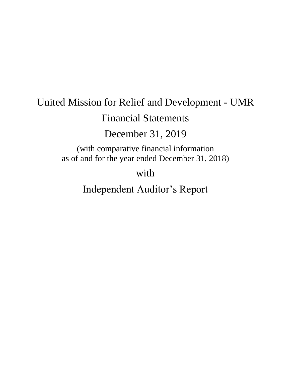# United Mission for Relief and Development - UMR

# Financial Statements

December 31, 2019

(with comparative financial information as of and for the year ended December 31, 2018)

with

Independent Auditor's Report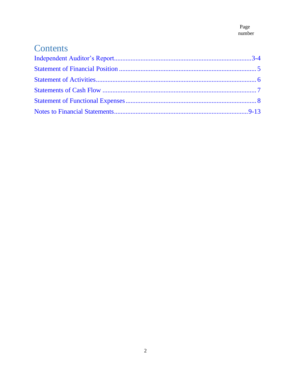# Contents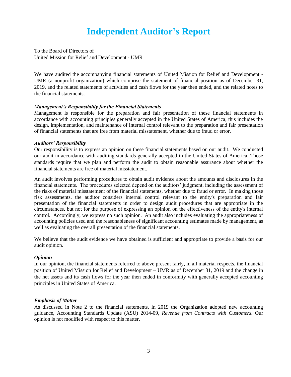# **Independent Auditor's Report**

<span id="page-2-0"></span>To the Board of Directors of United Mission for Relief and Development - UMR

We have audited the accompanying financial statements of United Mission for Relief and Development - UMR (a nonprofit organization) which comprise the statement of financial position as of December 31, 2019, and the related statements of activities and cash flows for the year then ended, and the related notes to the financial statements.

## *Management's Responsibility for the Financial Statements*

Management is responsible for the preparation and fair presentation of these financial statements in accordance with accounting principles generally accepted in the United States of America; this includes the design, implementation, and maintenance of internal control relevant to the preparation and fair presentation of financial statements that are free from material misstatement, whether due to fraud or error.

#### *Auditors' Responsibility*

Our responsibility is to express an opinion on these financial statements based on our audit. We conducted our audit in accordance with auditing standards generally accepted in the United States of America. Those standards require that we plan and perform the audit to obtain reasonable assurance about whether the financial statements are free of material misstatement.

An audit involves performing procedures to obtain audit evidence about the amounts and disclosures in the financial statements. The procedures selected depend on the auditors' judgment, including the assessment of the risks of material misstatement of the financial statements, whether due to fraud or error. In making those risk assessments, the auditor considers internal control relevant to the entity's preparation and fair presentation of the financial statements in order to design audit procedures that are appropriate in the circumstances, but not for the purpose of expressing an opinion on the effectiveness of the entity's internal control. Accordingly, we express no such opinion. An audit also includes evaluating the appropriateness of accounting policies used and the reasonableness of significant accounting estimates made by management, as well as evaluating the overall presentation of the financial statements.

We believe that the audit evidence we have obtained is sufficient and appropriate to provide a basis for our audit opinion.

#### *Opinion*

In our opinion, the financial statements referred to above present fairly, in all material respects, the financial position of United Mission for Relief and Development – UMR as of December 31, 2019 and the change in the net assets and its cash flows for the year then ended in conformity with generally accepted accounting principles in United States of America.

#### *Emphasis of Matter*

As discussed in Note 2 to the financial statements, in 2019 the Organization adopted new accounting guidance, Accounting Standards Update (ASU) 2014-09, *Revenue from Contracts with Customers*. Our opinion is not modified with respect to this matter.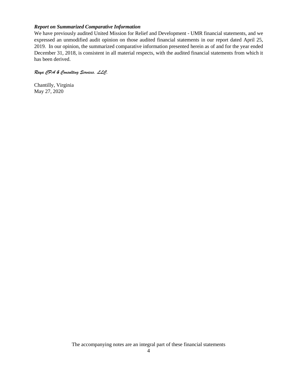# *Report on Summarized Comparative Information*

We have previously audited United Mission for Relief and Development - UMR financial statements, and we expressed an unmodified audit opinion on those audited financial statements in our report dated April 25, 2019. In our opinion, the summarized comparative information presented herein as of and for the year ended December 31, 2018, is consistent in all material respects, with the audited financial statements from which it has been derived.

## *Raya CPA & Consulting Services, LLC.*

<span id="page-3-0"></span>Chantilly, Virginia May 27, 2020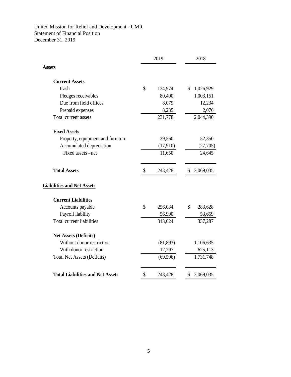# United Mission for Relief and Development - UMR Statement of Financial Position December 31, 2019

|                                         | 2019                      |           | 2018 |           |  |
|-----------------------------------------|---------------------------|-----------|------|-----------|--|
| <b>Assets</b>                           |                           |           |      |           |  |
| <b>Current Assets</b>                   |                           |           |      |           |  |
| Cash                                    | $\boldsymbol{\mathsf{S}}$ | 134,974   | \$   | 1,026,929 |  |
| Pledges receivables                     |                           | 80,490    |      | 1,003,151 |  |
| Due from field offices                  |                           | 8,079     |      | 12,234    |  |
| Prepaid expenses                        |                           | 8,235     |      | 2,076     |  |
| Total current assets                    |                           | 231,778   |      | 2,044,390 |  |
| <b>Fixed Assets</b>                     |                           |           |      |           |  |
| Property, equipment and furniture       |                           | 29,560    |      | 52,350    |  |
| Accumulated depreciation                |                           | (17,910)  |      | (27,705)  |  |
| Fixed assets - net                      |                           | 11,650    |      | 24,645    |  |
| <b>Total Assets</b>                     | \$                        | 243,428   |      | 2,069,035 |  |
| <b>Liabilities and Net Assets</b>       |                           |           |      |           |  |
| <b>Current Liabilities</b>              |                           |           |      |           |  |
| Accounts payable                        | \$                        | 256,034   | \$   | 283,628   |  |
| Payroll liability                       |                           | 56,990    |      | 53,659    |  |
| Total current liabilities               |                           | 313,024   |      | 337,287   |  |
| <b>Net Assets (Deficits)</b>            |                           |           |      |           |  |
| Without donor restriction               |                           | (81, 893) |      | 1,106,635 |  |
| With donor restriction                  |                           | 12,297    |      | 625,113   |  |
| <b>Total Net Assets (Deficits)</b>      |                           | (69, 596) |      | 1,731,748 |  |
| <b>Total Liabilities and Net Assets</b> | \$                        | 243,428   | \$   | 2,069,035 |  |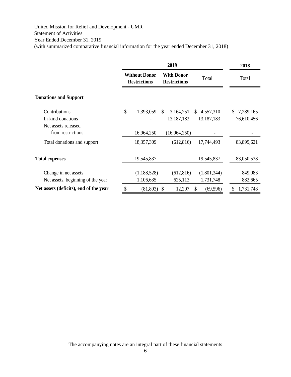<span id="page-5-0"></span>United Mission for Relief and Development - UMR Statement of Activities Year Ended December 31, 2019 (with summarized comparative financial information for the year ended December 31, 2018)

|                                        | 2019                                        |             |                                          |              |       |             | 2018           |
|----------------------------------------|---------------------------------------------|-------------|------------------------------------------|--------------|-------|-------------|----------------|
|                                        | <b>Without Donor</b><br><b>Restrictions</b> |             | <b>With Donor</b><br><b>Restrictions</b> |              | Total |             | Total          |
| <b>Donations and Support</b>           |                                             |             |                                          |              |       |             |                |
| Contributions                          | \$                                          | 1,393,059   | \$.                                      | 3,164,251    | S.    | 4,557,310   | 7,289,165<br>S |
| In-kind donations                      |                                             |             |                                          | 13, 187, 183 |       | 13,187,183  | 76,610,456     |
| Net assets released                    |                                             |             |                                          |              |       |             |                |
| from restrictions                      |                                             | 16,964,250  |                                          | (16,964,250) |       |             |                |
| Total donations and support            |                                             | 18,357,309  |                                          | (612, 816)   |       | 17,744,493  | 83,899,621     |
| <b>Total expenses</b>                  |                                             | 19,545,837  |                                          |              |       | 19,545,837  | 83,050,538     |
| Change in net assets                   |                                             | (1,188,528) |                                          | (612, 816)   |       | (1,801,344) | 849,083        |
| Net assets, beginning of the year      |                                             | 1,106,635   |                                          | 625,113      |       | 1,731,748   | 882,665        |
| Net assets (deficits), end of the year | \$                                          | (81,893)    | $\boldsymbol{\mathsf{S}}$                | 12,297       | S     | (69, 596)   | 1,731,748<br>S |

The accompanying notes are an integral part of these financial statements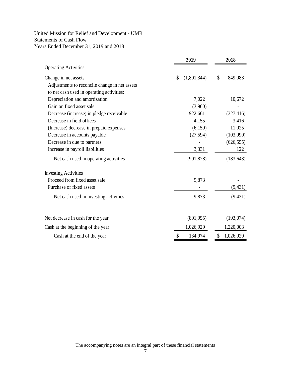United Mission for Relief and Development - UMR Statements of Cash Flow Years Ended December 31, 2019 and 2018

|                                               | 2019              | 2018            |
|-----------------------------------------------|-------------------|-----------------|
| <b>Operating Activities</b>                   |                   |                 |
| Change in net assets                          | \$<br>(1,801,344) | \$<br>849,083   |
| Adjustments to reconcile change in net assets |                   |                 |
| to net cash used in operating activities:     |                   |                 |
| Depreciation and amortization                 | 7,022             | 10,672          |
| Gain on fixed asset sale                      | (3,900)           |                 |
| Decrease (increase) in pledge receivable      | 922,661           | (327, 416)      |
| Decrease in field offices                     | 4,155             | 3,416           |
| (Increase) decrease in prepaid expenses       | (6,159)           | 11,025          |
| Decrease in accounts payable                  | (27, 594)         | (103,990)       |
| Decrease in due to partners                   |                   | (626, 555)      |
| Increase in payroll liabilities               | 3,331             | 122             |
| Net cash used in operating activities         | (901, 828)        | (183, 643)      |
| <b>Investing Activities</b>                   |                   |                 |
| Proceed from fixed asset sale                 | 9,873             |                 |
| Purchase of fixed assets                      |                   | (9, 431)        |
| Net cash used in investing activities         | 9,873             | (9, 431)        |
| Net decrease in cash for the year             | (891, 955)        | (193,074)       |
| Cash at the beginning of the year             | 1,026,929         | 1,220,003       |
| Cash at the end of the year                   | \$<br>134,974     | \$<br>1,026,929 |

The accompanying notes are an integral part of these financial statements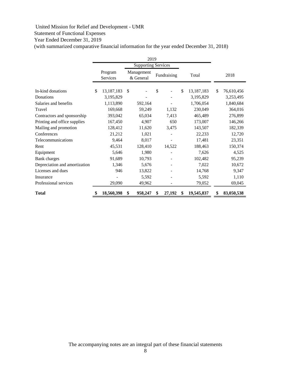# <span id="page-7-0"></span>United Mission for Relief and Development - UMR

Statement of Functional Expenses

Year Ended December 31, 2019

(with summarized comparative financial information for the year ended December 31, 2018)

|                               | 2019                       |                     |                         |         |             |        |    |            |    |            |      |
|-------------------------------|----------------------------|---------------------|-------------------------|---------|-------------|--------|----|------------|----|------------|------|
|                               | <b>Supporting Services</b> |                     |                         |         |             |        |    |            |    |            |      |
|                               |                            | Program<br>Services | Management<br>& General |         | Fundraising |        |    | Total      |    |            | 2018 |
| In-kind donations             | \$                         | 13, 187, 183        | \$                      |         | \$          |        | \$ | 13,187,183 | \$ | 76,610,456 |      |
| Donations                     |                            | 3,195,829           |                         |         |             |        |    | 3,195,829  |    | 3,253,495  |      |
| Salaries and benefits         |                            | 1,113,890           |                         | 592,164 |             |        |    | 1,706,054  |    | 1,840,684  |      |
| Travel                        |                            | 169,668             |                         | 59,249  |             | 1,132  |    | 230,049    |    | 364,016    |      |
| Contractors and sponsorship   |                            | 393,042             |                         | 65,034  |             | 7,413  |    | 465,489    |    | 276,899    |      |
| Printing and office supplies  |                            | 167,450             |                         | 4,907   |             | 650    |    | 173,007    |    | 146,266    |      |
| Mailing and promotion         |                            | 128,412             |                         | 11,620  |             | 3,475  |    | 143,507    |    | 182,339    |      |
| Conferences                   |                            | 21,212              |                         | 1,021   |             |        |    | 22,233     |    | 12,720     |      |
| Telecommunications            |                            | 9,464               |                         | 8,017   |             |        |    | 17,481     |    | 23,351     |      |
| Rent                          |                            | 45,531              |                         | 128,410 |             | 14,522 |    | 188,463    |    | 150,374    |      |
| Equipment                     |                            | 5,646               |                         | 1,980   |             |        |    | 7,626      |    | 4,525      |      |
| Bank charges                  |                            | 91,689              |                         | 10,793  |             |        |    | 102,482    |    | 95,239     |      |
| Depreciation and amortization |                            | 1,346               |                         | 5,676   |             |        |    | 7,022      |    | 10,672     |      |
| Licenses and dues             |                            | 946                 |                         | 13,822  |             |        |    | 14,768     |    | 9,347      |      |
| Insurance                     |                            |                     |                         | 5,592   |             |        |    | 5,592      |    | 1,110      |      |
| Professional services         |                            | 29,090              |                         | 49,962  |             |        |    | 79,052     |    | 69,045     |      |
| <b>Total</b>                  | \$                         | 18,560,398          |                         | 958,247 | \$          | 27,192 | \$ | 19,545,837 |    | 83,050,538 |      |

The accompanying notes are an integral part of these financial statements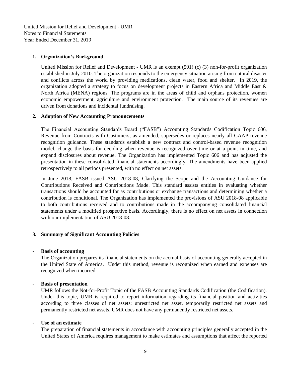<span id="page-8-0"></span>United Mission for Relief and Development - UMR Notes to Financial Statements Year Ended December 31, 2019

# **1. Organization's Background**

United Mission for Relief and Development - UMR is an exempt (501) (c) (3) non-for-profit organization established in July 2010. The organization responds to the emergency situation arising from natural disaster and conflicts across the world by providing medications, clean water, food and shelter. In 2019, the organization adopted a strategy to focus on development projects in Eastern Africa and Middle East & North Africa (MENA) regions. The programs are in the areas of child and orphans protection, women economic empowerment, agriculture and environment protection. The main source of its revenues are driven from donations and incidental fundraising.

## **2. Adoption of New Accounting Pronouncements**

The Financial Accounting Standards Board ("FASB") Accounting Standards Codification Topic 606, Revenue from Contracts with Customers, as amended, supersedes or replaces nearly all GAAP revenue recognition guidance. These standards establish a new contract and control-based revenue recognition model, change the basis for deciding when revenue is recognized over time or at a point in time, and expand disclosures about revenue. The Organization has implemented Topic 606 and has adjusted the presentation in these consolidated financial statements accordingly. The amendments have been applied retrospectively to all periods presented, with no effect on net assets.

In June 2018, FASB issued ASU 2018-08, Clarifying the Scope and the Accounting Guidance for Contributions Received and Contributions Made. This standard assists entities in evaluating whether transactions should be accounted for as contributions or exchange transactions and determining whether a contribution is conditional. The Organization has implemented the provisions of ASU 2018-08 applicable to both contributions received and to contributions made in the accompanying consolidated financial statements under a modified prospective basis. Accordingly, there is no effect on net assets in connection with our implementation of ASU 2018-08.

# **3. Summary of Significant Accounting Policies**

#### - **Basis of accounting**

The Organization prepares its financial statements on the accrual basis of accounting generally accepted in the United State of America. Under this method, revenue is recognized when earned and expenses are recognized when incurred.

#### - **Basis of presentation**

UMR follows the Not-for-Profit Topic of the FASB Accounting Standards Codification (the Codification). Under this topic, UMR is required to report information regarding its financial position and activities according to three classes of net assets: unrestricted net asset, temporarily restricted net assets and permanently restricted net assets. UMR does not have any permanently restricted net assets.

#### - **Use of an estimate**

The preparation of financial statements in accordance with accounting principles generally accepted in the United States of America requires management to make estimates and assumptions that affect the reported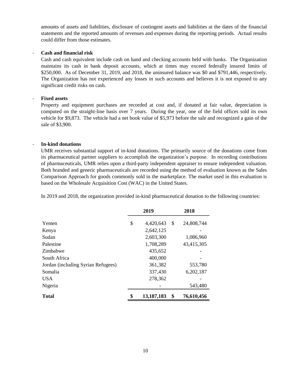amounts of assets and liabilities, disclosure of contingent assets and liabilities at the dates of the financial statements and the reported amounts of revenues and expenses during the reporting periods. Actual results could differ from those estimates.

## - **Cash and financial risk**

Cash and cash equivalent include cash on hand and checking accounts held with banks. The Organization maintains its cash in bank deposit accounts, which at times may exceed federally insured limits of \$250,000. As of December 31, 2019, and 2018, the uninsured balance was \$0 and \$791,446, respectively. The Organization has not experienced any losses in such accounts and believes it is not exposed to any significant credit risks on cash.

# - **Fixed assets**

Property and equipment purchases are recorded at cost and, if donated at fair value, depreciation is computed on the straight-line basis over 7 years. During the year, one of the field offices sold its own vehicle for \$9,873. The vehicle had a net book value of \$5,973 before the sale and recognized a gain of the sale of \$3,900.

# - **In-kind donations**

UMR receives substantial support of in-kind donations. The primarily source of the donations come from its pharmaceutical partner suppliers to accomplish the organization's purpose. In recording contributions of pharmaceuticals, UMR relies upon a third-party independent appraiser to ensure independent valuation. Both branded and generic pharmaceuticals are recorded using the method of evaluation known as the Sales Comparison Approach for goods commonly sold in the marketplace. The market used in this evaluation is based on the Wholesale Acquisition Cost (WAC) in the United States.

In 2019 and 2018, the organization provided in-kind pharmaceutical donation to the following countries:

|                                    | 2019             | 2018             |
|------------------------------------|------------------|------------------|
| Yemen                              | \$<br>4,420,643  | \$<br>24,808,744 |
| Kenya                              | 2,642,125        |                  |
| Sudan                              | 2,603,300        | 1,086,960        |
| Palestine                          | 1,708,289        | 43,415,305       |
| Zimbabwe                           | 435,652          |                  |
| South Africa                       | 400,000          |                  |
| Jordan (including Syrian Refugees) | 361,382          | 553,780          |
| Somalia                            | 337,430          | 6,202,187        |
| <b>USA</b>                         | 278,362          |                  |
| Nigeria                            |                  | 543,480          |
| <b>Total</b>                       | \$<br>13,187,183 | \$<br>76,610,456 |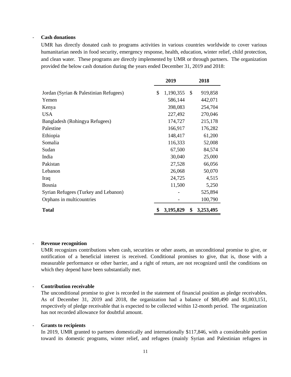# - **Cash donations**

UMR has directly donated cash to programs activities in various countries worldwide to cover various humanitarian needs in food security, emergency response, health, education, winter relief, child protection, and clean water. These programs are directly implemented by UMR or through partners. The organization provided the below cash donation during the years ended December 31, 2019 and 2018:

|                                        | 2019            | 2018            |
|----------------------------------------|-----------------|-----------------|
| Jordan (Syrian & Palestinian Refugees) | \$<br>1,190,355 | \$<br>919,858   |
| Yemen                                  | 586,144         | 442,071         |
| Kenya                                  | 398,083         | 254,704         |
| <b>USA</b>                             | 227,492         | 270,046         |
| Bangladesh (Rohingya Refugees)         | 174,727         | 215,178         |
| Palestine                              | 166,917         | 176,282         |
| Ethiopia                               | 148,417         | 61,200          |
| Somalia                                | 116,333         | 52,008          |
| Sudan                                  | 67,500          | 84,574          |
| India                                  | 30,040          | 25,000          |
| Pakistan                               | 27,528          | 66,056          |
| Lebanon                                | 26,068          | 50,070          |
| Iraq                                   | 24,725          | 4,515           |
| <b>Bosnia</b>                          | 11,500          | 5,250           |
| Syrian Refugees (Turkey and Lebanon)   |                 | 525,894         |
| Orphans in multicountries              |                 | 100,790         |
| <b>Total</b>                           | \$<br>3,195,829 | \$<br>3,253,495 |

# - **Revenue recognition**

UMR recognizes contributions when cash, securities or other assets, an unconditional promise to give, or notification of a beneficial interest is received. Conditional promises to give, that is, those with a measurable performance or other barrier, and a right of return, are not recognized until the conditions on which they depend have been substantially met.

# - **Contribution receivable**

The unconditional promise to give is recorded in the statement of financial position as pledge receivables. As of December 31, 2019 and 2018, the organization had a balance of \$80,490 and \$1,003,151, respectively of pledge receivable that is expected to be collected within 12-month period. The organization has not recorded allowance for doubtful amount.

# - **Grants to recipients**

In 2019, UMR granted to partners domestically and internationally \$117,846, with a considerable portion toward its domestic programs, winter relief, and refugees (mainly Syrian and Palestinian refugees in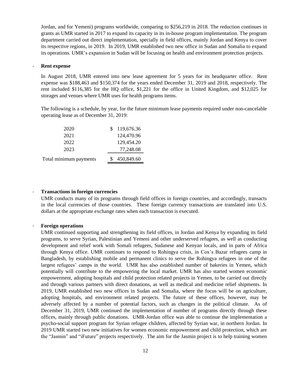Jordan, and for Yemeni) programs worldwide, comparing to \$256,219 in 2018. The reduction continues in grants as UMR started in 2017 to expand its capacity in its in-house program implementation. The program department carried out direct implementation, specially in field offices, mainly Jordan and Kenya to cover its respective regions, in 2019. In 2019, UMR established two new office in Sudan and Somalia to expand its operations. UMR's expansion in Sudan will be focusing on health and environment protection projects.

## - **Rent expense**

In August 2018, UMR entered into new lease agreement for 5 years for its headquarter office. Rent expense was \$188,463 and \$150,374 for the years ended December 31, 2019 and 2018, respectively. The rent included \$116,385 for the HQ office, \$1,221 for the office in United Kingdom, and \$12,025 for storages and venues where UMR uses for health programs items.

The following is a schedule, by year, for the future minimum lease payments required under non-cancelable operating lease as of December 31, 2019:

| 2020                   | 119,676.36 |
|------------------------|------------|
| 2021                   | 124,470.96 |
| 2022                   | 129,454.20 |
| 2023                   | 77,248.08  |
| Total minimum payments | 450,849.60 |

#### - **Transactions in foreign currencies**

UMR conducts many of its programs through field offices in foreign countries, and accordingly, transacts in the local currencies of those countries. These foreign currency transactions are translated into U.S. dollars at the appropriate exchange rates when each transaction is executed.

## - **Foreign operations**

UMR continued supporting and strengthening its field offices, in Jordan and Kenya by expanding its field programs, to serve Syrian, Palestinian and Yemeni and other underserved refugees, as well as conducting development and relief work with Somali refugees, Sudanese and Kenyan locals, and in parts of Africa through Kenya office. UMR continues to respond to Rohingya crisis, in Cox's Bazar refugees camp in Bangladesh, by establishing mobile and permanent clinics to serve the Rohingya refugees in one of the largest refugees' camps in the world. UMR has also established number of bakeries in Yemen, which potentially will contribute to the empowering the local market. UMR has also started women economic empowerment, adopting hospitals and child protection related projects in Yemen, to be carried out directly and through various partners with direct donations, as well as medical and medicine relief shipments. In 2019, UMR established two new offices in Sudan and Somalia, where the focus will be on agriculture, adopting hospitals, and environment related projects. The future of these offices, however, may be adversely affected by a number of potential factors, such as changes in the political climate. As of December 31, 2019, UMR continued the implementation of number of programs directly through these offices, mainly through public donations. UMR-Jordan office was able to continue the implementation a psycho-social support program for Syrian refugee children, affected by Syrian war, in northern Jordan. In 2019 UMR started two new initiatives for women economic empowerment and child protection, which are the "Jasmin" and "iFuture" projects respectively. The aim for the Jasmin project is to help training women